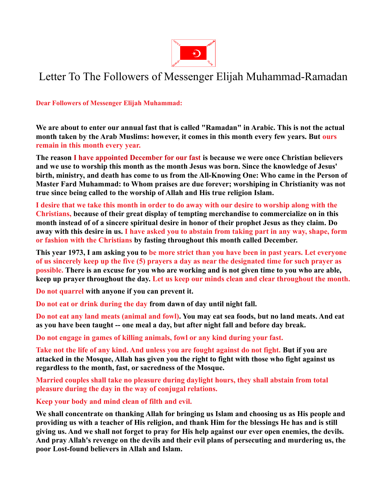

## Letter To The Followers of Messenger Elijah Muhammad-Ramadan

**Dear Followers of Messenger Elijah Muhammad:**

**We are about to enter our annual fast that is called "Ramadan" in Arabic. This is not the actual month taken by the Arab Muslims: however, it comes in this month every few years. But ours remain in this month every year.**

**The reason I have appointed December for our fast is because we were once Christian believers and we use to worship this month as the month Jesus was born. Since the knowledge of Jesus' birth, ministry, and death has come to us from the All-Knowing One: Who came in the Person of Master Fard Muhammad: to Whom praises are due forever; worshiping in Christianity was not true since being called to the worship of Allah and His true religion Islam.**

**I desire that we take this month in order to do away with our desire to worship along with the Christians, because of their great display of tempting merchandise to commercialize on in this month instead of of a sincere spiritual desire in honor of their prophet Jesus as they claim. Do away with this desire in us. I have asked you to abstain from taking part in any way, shape, form or fashion with the Christians by fasting throughout this month called December.**

**This year 1973, I am asking you to be more strict than you have been in past years. Let everyone of us sincerely keep up the five (5) prayers a day as near the designated time for such prayer as possible. There is an excuse for you who are working and is not given time to you who are able, keep up prayer throughout the day. Let us keep our minds clean and clear throughout the month.**

**Do not quarrel with anyone if you can prevent it.**

**Do not eat or drink during the day from dawn of day until night fall.**

**Do not eat any land meats (animal and fowl). You may eat sea foods, but no land meats. And eat as you have been taught -- one meal a day, but after night fall and before day break.**

**Do not engage in games of killing animals, fowl or any kind during your fast.**

**Take not the life of any kind. And unless you are fought against do not fight. But if you are attacked in the Mosque, Allah has given you the right to fight with those who fight against us regardless to the month, fast, or sacredness of the Mosque.**

**Married couples shall take no pleasure during daylight hours, they shall abstain from total pleasure during the day in the way of conjugal relations.**

**Keep your body and mind clean of filth and evil.**

**We shall concentrate on thanking Allah for bringing us Islam and choosing us as His people and providing us with a teacher of His religion, and thank Him for the blessings He has and is still giving us. And we shall not forget to pray for His help against our ever open enemies, the devils. And pray Allah's revenge on the devils and their evil plans of persecuting and murdering us, the poor Lost-found believers in Allah and Islam.**